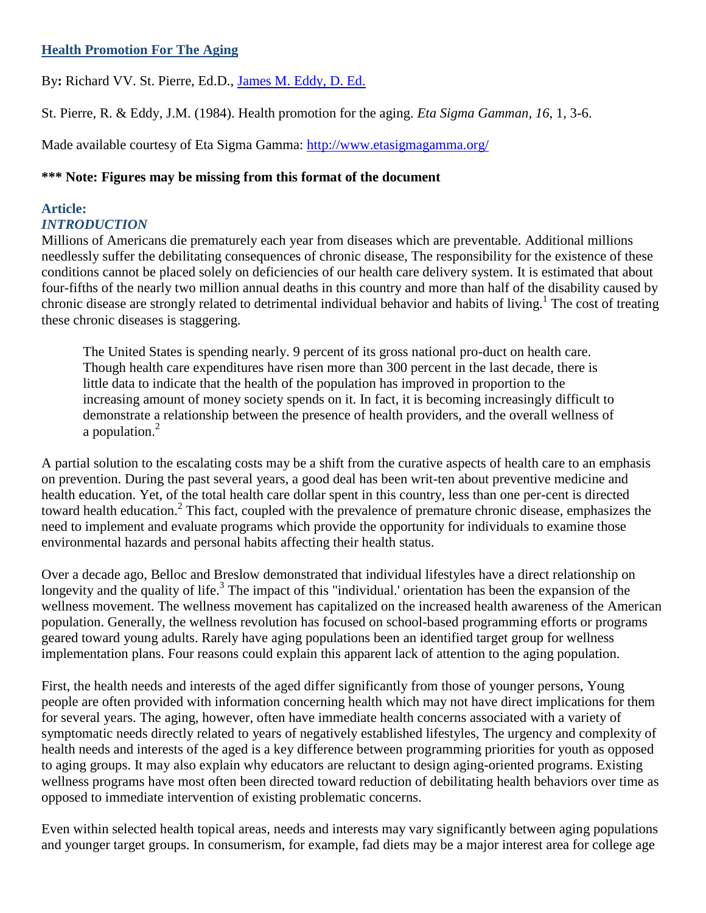# **Health Promotion For The Aging**

By**:** Richard VV. St. Pierre, Ed.D., [James M. Eddy, D. Ed.](http://libres.uncg.edu/ir/clist.aspx?id=3091)

St. Pierre, R. & Eddy, J.M. (1984). Health promotion for the aging. *Eta Sigma Gamman, 16*, 1, 3-6.

Made available courtesy of Eta Sigma Gamma:<http://www.etasigmagamma.org/>

# **\*\*\* Note: Figures may be missing from this format of the document**

## **Article:** *INTRODUCTION*

Millions of Americans die prematurely each year from diseases which are preventable. Additional millions needlessly suffer the debilitating consequences of chronic disease, The responsibility for the existence of these conditions cannot be placed solely on deficiencies of our health care delivery system. It is estimated that about four-fifths of the nearly two million annual deaths in this country and more than half of the disability caused by chronic disease are strongly related to detrimental individual behavior and habits of living.<sup>1</sup> The cost of treating these chronic diseases is staggering.

The United States is spending nearly. 9 percent of its gross national pro-duct on health care. Though health care expenditures have risen more than 300 percent in the last decade, there is little data to indicate that the health of the population has improved in proportion to the increasing amount of money society spends on it. In fact, it is becoming increasingly difficult to demonstrate a relationship between the presence of health providers, and the overall wellness of a population.<sup>2</sup>

A partial solution to the escalating costs may be a shift from the curative aspects of health care to an emphasis on prevention. During the past several years, a good deal has been writ-ten about preventive medicine and health education. Yet, of the total health care dollar spent in this country, less than one per-cent is directed toward health education.<sup>2</sup> This fact, coupled with the prevalence of premature chronic disease, emphasizes the need to implement and evaluate programs which provide the opportunity for individuals to examine those environmental hazards and personal habits affecting their health status.

Over a decade ago, Belloc and Breslow demonstrated that individual lifestyles have a direct relationship on longevity and the quality of life.<sup>3</sup> The impact of this "individual.' orientation has been the expansion of the wellness movement. The wellness movement has capitalized on the increased health awareness of the American population. Generally, the wellness revolution has focused on school-based programming efforts or programs geared toward young adults. Rarely have aging populations been an identified target group for wellness implementation plans. Four reasons could explain this apparent lack of attention to the aging population.

First, the health needs and interests of the aged differ significantly from those of younger persons, Young people are often provided with information concerning health which may not have direct implications for them for several years. The aging, however, often have immediate health concerns associated with a variety of symptomatic needs directly related to years of negatively established lifestyles, The urgency and complexity of health needs and interests of the aged is a key difference between programming priorities for youth as opposed to aging groups. It may also explain why educators are reluctant to design aging-oriented programs. Existing wellness programs have most often been directed toward reduction of debilitating health behaviors over time as opposed to immediate intervention of existing problematic concerns.

Even within selected health topical areas, needs and interests may vary significantly between aging populations and younger target groups. In consumerism, for example, fad diets may be a major interest area for college age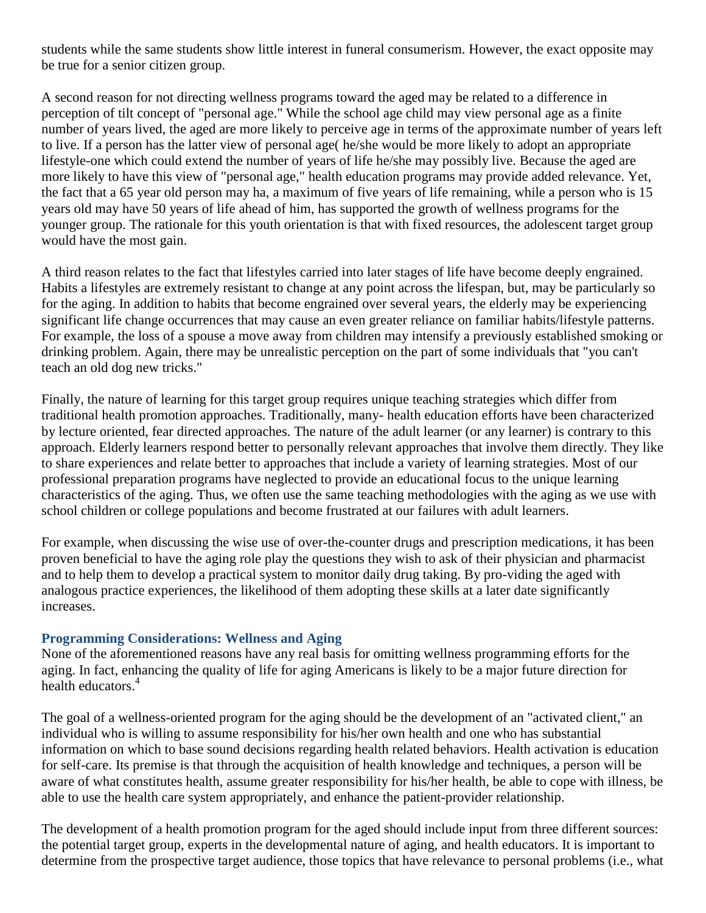students while the same students show little interest in funeral consumerism. However, the exact opposite may be true for a senior citizen group.

A second reason for not directing wellness programs toward the aged may be related to a difference in perception of tilt concept of "personal age." While the school age child may view personal age as a finite number of years lived, the aged are more likely to perceive age in terms of the approximate number of years left to live. If a person has the latter view of personal age( he/she would be more likely to adopt an appropriate lifestyle-one which could extend the number of years of life he/she may possibly live. Because the aged are more likely to have this view of "personal age," health education programs may provide added relevance. Yet, the fact that a 65 year old person may ha, a maximum of five years of life remaining, while a person who is 15 years old may have 50 years of life ahead of him, has supported the growth of wellness programs for the younger group. The rationale for this youth orientation is that with fixed resources, the adolescent target group would have the most gain.

A third reason relates to the fact that lifestyles carried into later stages of life have become deeply engrained. Habits a lifestyles are extremely resistant to change at any point across the lifespan, but, may be particularly so for the aging. In addition to habits that become engrained over several years, the elderly may be experiencing significant life change occurrences that may cause an even greater reliance on familiar habits/lifestyle patterns. For example, the loss of a spouse a move away from children may intensify a previously established smoking or drinking problem. Again, there may be unrealistic perception on the part of some individuals that "you can't teach an old dog new tricks."

Finally, the nature of learning for this target group requires unique teaching strategies which differ from traditional health promotion approaches. Traditionally, many- health education efforts have been characterized by lecture oriented, fear directed approaches. The nature of the adult learner (or any learner) is contrary to this approach. Elderly learners respond better to personally relevant approaches that involve them directly. They like to share experiences and relate better to approaches that include a variety of learning strategies. Most of our professional preparation programs have neglected to provide an educational focus to the unique learning characteristics of the aging. Thus, we often use the same teaching methodologies with the aging as we use with school children or college populations and become frustrated at our failures with adult learners.

For example, when discussing the wise use of over-the-counter drugs and prescription medications, it has been proven beneficial to have the aging role play the questions they wish to ask of their physician and pharmacist and to help them to develop a practical system to monitor daily drug taking. By pro-viding the aged with analogous practice experiences, the likelihood of them adopting these skills at a later date significantly increases.

# **Programming Considerations: Wellness and Aging**

None of the aforementioned reasons have any real basis for omitting wellness programming efforts for the aging. In fact, enhancing the quality of life for aging Americans is likely to be a major future direction for health educators.<sup>4</sup>

The goal of a wellness-oriented program for the aging should be the development of an "activated client," an individual who is willing to assume responsibility for his/her own health and one who has substantial information on which to base sound decisions regarding health related behaviors. Health activation is education for self-care. Its premise is that through the acquisition of health knowledge and techniques, a person will be aware of what constitutes health, assume greater responsibility for his/her health, be able to cope with illness, be able to use the health care system appropriately, and enhance the patient-provider relationship.

The development of a health promotion program for the aged should include input from three different sources: the potential target group, experts in the developmental nature of aging, and health educators. It is important to determine from the prospective target audience, those topics that have relevance to personal problems (i.e., what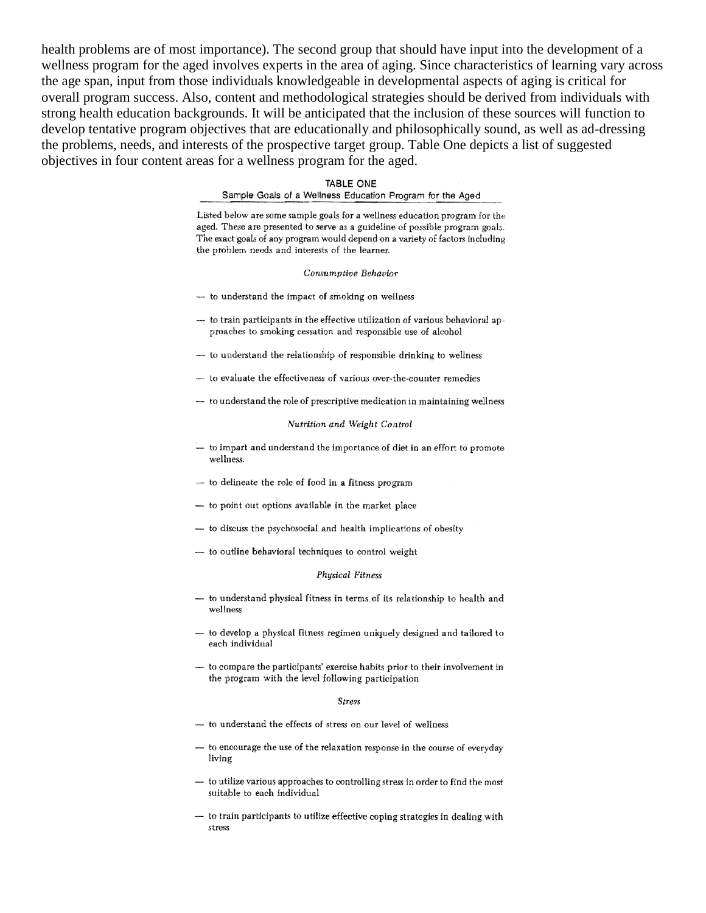health problems are of most importance). The second group that should have input into the development of a wellness program for the aged involves experts in the area of aging. Since characteristics of learning vary across the age span, input from those individuals knowledgeable in developmental aspects of aging is critical for overall program success. Also, content and methodological strategies should be derived from individuals with strong health education backgrounds. It will be anticipated that the inclusion of these sources will function to develop tentative program objectives that are educationally and philosophically sound, as well as ad-dressing the problems, needs, and interests of the prospective target group. Table One depicts a list of suggested objectives in four content areas for a wellness program for the aged.

#### **TABLE ONE**

Sample Goals of a Wellness Education Program for the Aged

Listed below are some sample goals for a wellness education program for the aged. These are presented to serve as a guideline of possible program goals. The exact goals of any program would depend on a variety of factors including the problem needs and interests of the learner.

Consumptive Behavior

- to understand the impact of smoking on wellness
- $-$  to train participants in the effective utilization of various behavioral approaches to smoking cessation and responsible use of alcohol
- to understand the relationship of responsible drinking to wellness
- to evaluate the effectiveness of various over-the-counter remedies
- to understand the role of prescriptive medication in maintaining wellness

Nutrition and Weight Control

- to impart and understand the importance of diet in an effort to promote wellness.
- to delineate the role of food in a fitness program
- to point out options available in the market place
- to discuss the psychosocial and health implications of obesity
- to outline behavioral techniques to control weight

#### Physical Fitness

- to understand physical fitness in terms of its relationship to health and wellness
- to develop a physical fitness regimen uniquely designed and tailored to each individual
- to compare the participants' exercise habits prior to their involvement in the program with the level following participation

#### **Stress**

- to understand the effects of stress on our level of wellness
- to encourage the use of the relaxation response in the course of everyday living
- to utilize various approaches to controlling stress in order to find the most suitable to each individual
- to train participants to utilize effective coping strategies in dealing with stress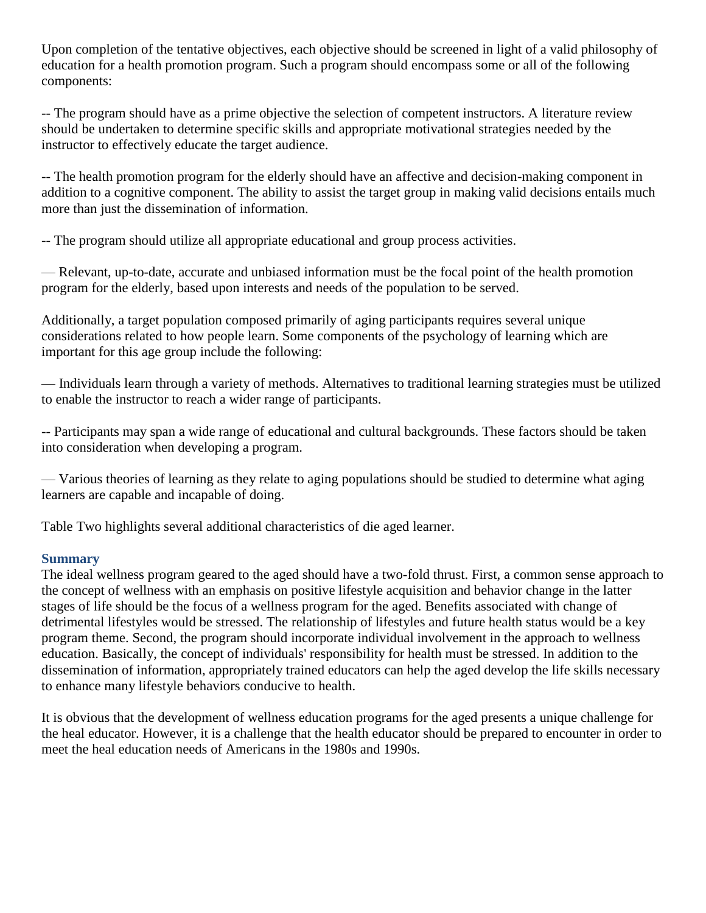Upon completion of the tentative objectives, each objective should be screened in light of a valid philosophy of education for a health promotion program. Such a program should encompass some or all of the following components:

-- The program should have as a prime objective the selection of competent instructors. A literature review should be undertaken to determine specific skills and appropriate motivational strategies needed by the instructor to effectively educate the target audience.

-- The health promotion program for the elderly should have an affective and decision-making component in addition to a cognitive component. The ability to assist the target group in making valid decisions entails much more than just the dissemination of information.

-- The program should utilize all appropriate educational and group process activities.

— Relevant, up-to-date, accurate and unbiased information must be the focal point of the health promotion program for the elderly, based upon interests and needs of the population to be served.

Additionally, a target population composed primarily of aging participants requires several unique considerations related to how people learn. Some components of the psychology of learning which are important for this age group include the following:

— Individuals learn through a variety of methods. Alternatives to traditional learning strategies must be utilized to enable the instructor to reach a wider range of participants.

-- Participants may span a wide range of educational and cultural backgrounds. These factors should be taken into consideration when developing a program.

— Various theories of learning as they relate to aging populations should be studied to determine what aging learners are capable and incapable of doing.

Table Two highlights several additional characteristics of die aged learner.

# **Summary**

The ideal wellness program geared to the aged should have a two-fold thrust. First, a common sense approach to the concept of wellness with an emphasis on positive lifestyle acquisition and behavior change in the latter stages of life should be the focus of a wellness program for the aged. Benefits associated with change of detrimental lifestyles would be stressed. The relationship of lifestyles and future health status would be a key program theme. Second, the program should incorporate individual involvement in the approach to wellness education. Basically, the concept of individuals' responsibility for health must be stressed. In addition to the dissemination of information, appropriately trained educators can help the aged develop the life skills necessary to enhance many lifestyle behaviors conducive to health.

It is obvious that the development of wellness education programs for the aged presents a unique challenge for the heal educator. However, it is a challenge that the health educator should be prepared to encounter in order to meet the heal education needs of Americans in the 1980s and 1990s.